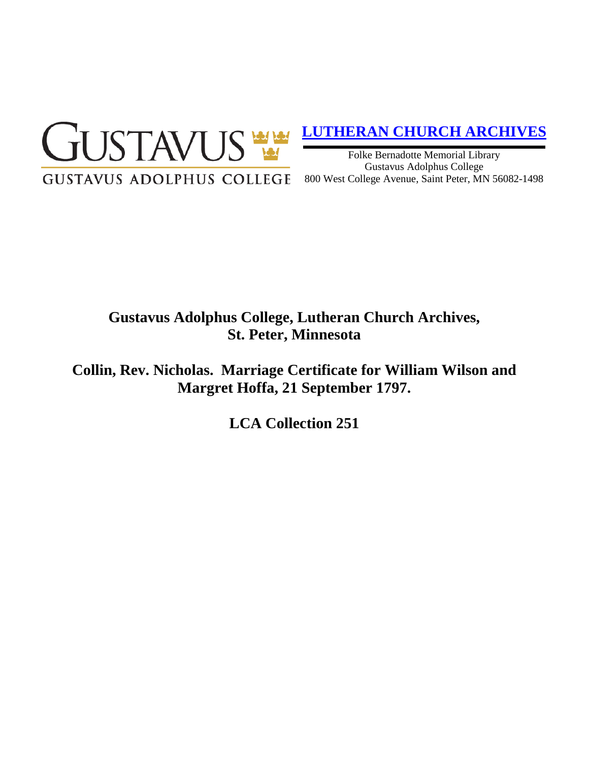

## **[LUTHERAN CHURCH ARCHIVES](http://gustavus.edu/academics/library/archives/)**

Folke Bernadotte Memorial Library Gustavus Adolphus College 800 West College Avenue, Saint Peter, MN 56082-1498

# **Gustavus Adolphus College, Lutheran Church Archives, St. Peter, Minnesota**

**Collin, Rev. Nicholas. Marriage Certificate for William Wilson and Margret Hoffa, 21 September 1797.**

**LCA Collection 251**